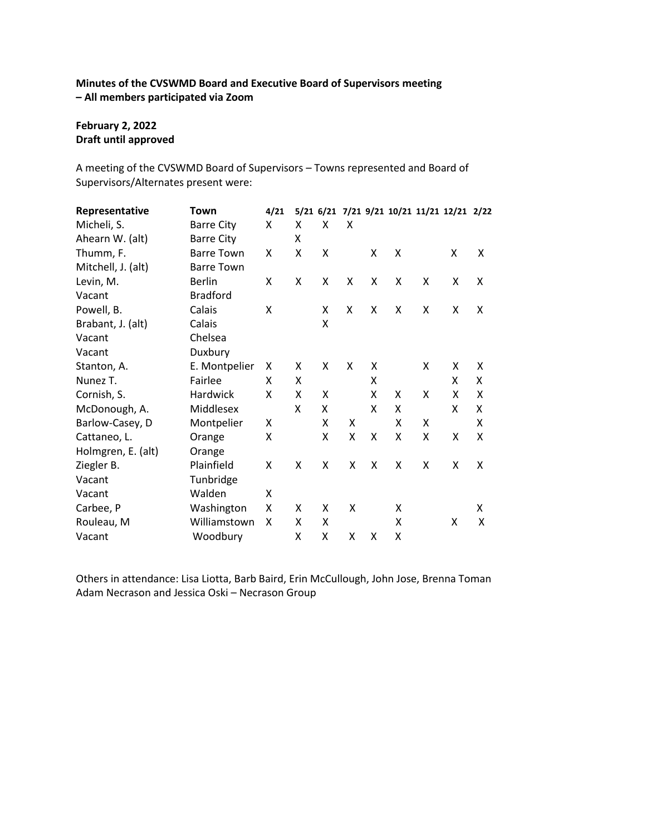## **Minutes of the CVSWMD Board and Executive Board of Supervisors meeting – All members participated via Zoom**

### **February 2, 2022 Draft until approved**

A meeting of the CVSWMD Board of Supervisors – Towns represented and Board of Supervisors/Alternates present were:

| Representative     | Town              | 4/21 |   |   |   |   |   |   | 5/21 6/21 7/21 9/21 10/21 11/21 12/21 2/22 |   |
|--------------------|-------------------|------|---|---|---|---|---|---|--------------------------------------------|---|
| Micheli, S.        | <b>Barre City</b> | X    | x | X | X |   |   |   |                                            |   |
| Ahearn W. (alt)    | <b>Barre City</b> |      | X |   |   |   |   |   |                                            |   |
| Thumm, F.          | <b>Barre Town</b> | Χ    | Χ | X |   | X | Χ |   | X                                          | X |
| Mitchell, J. (alt) | <b>Barre Town</b> |      |   |   |   |   |   |   |                                            |   |
| Levin, M.          | <b>Berlin</b>     | X    | Χ | X | X | X | X | X | X                                          | X |
| Vacant             | <b>Bradford</b>   |      |   |   |   |   |   |   |                                            |   |
| Powell, B.         | Calais            | X    |   | X | X | X | X | X | X                                          | Χ |
| Brabant, J. (alt)  | Calais            |      |   | X |   |   |   |   |                                            |   |
| Vacant             | Chelsea           |      |   |   |   |   |   |   |                                            |   |
| Vacant             | Duxbury           |      |   |   |   |   |   |   |                                            |   |
| Stanton, A.        | E. Montpelier     | x    | x | X | X | X |   | X | X                                          | X |
| Nunez T.           | Fairlee           | X    | X |   |   | x |   |   | X                                          | X |
| Cornish, S.        | Hardwick          | X    | Χ | X |   | x | X | X | X                                          | Χ |
| McDonough, A.      | Middlesex         |      | X | X |   | X | X |   | X                                          | x |
| Barlow-Casey, D    | Montpelier        | X    |   | X | X |   | X | Χ |                                            | X |
| Cattaneo, L.       | Orange            | Χ    |   | Χ | X | X | X | X | X                                          | X |
| Holmgren, E. (alt) | Orange            |      |   |   |   |   |   |   |                                            |   |
| Ziegler B.         | Plainfield        | X    | X | X | X | X | X | X | X                                          | X |
| Vacant             | Tunbridge         |      |   |   |   |   |   |   |                                            |   |
| Vacant             | Walden            | X    |   |   |   |   |   |   |                                            |   |
| Carbee, P          | Washington        | X    | X | X | X |   | X |   |                                            | X |
| Rouleau, M         | Williamstown      | X    | X | X |   |   | X |   | Χ                                          | X |
| Vacant             | Woodbury          |      | Χ | X | X | x | Χ |   |                                            |   |

Others in attendance: Lisa Liotta, Barb Baird, Erin McCullough, John Jose, Brenna Toman Adam Necrason and Jessica Oski – Necrason Group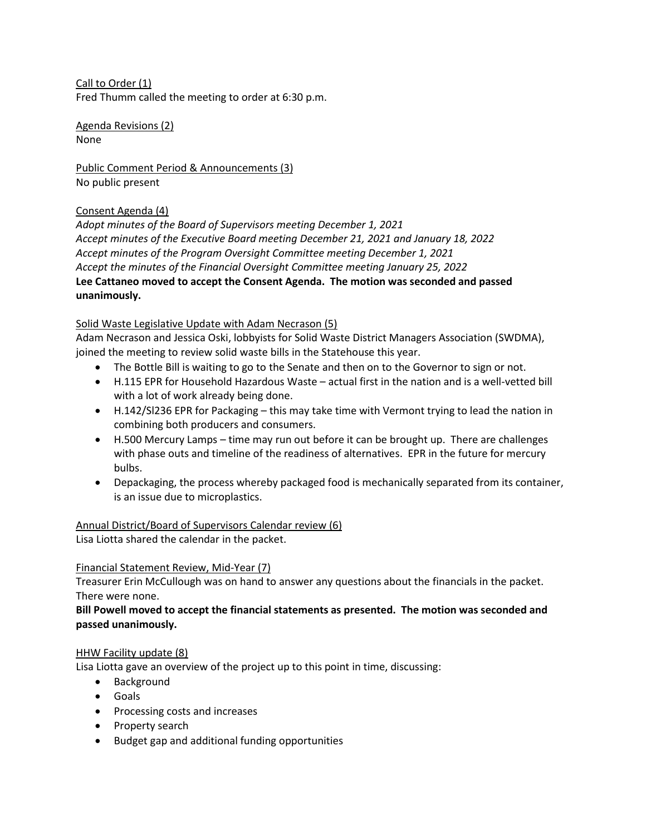Call to Order (1) Fred Thumm called the meeting to order at 6:30 p.m.

Agenda Revisions (2) None

Public Comment Period & Announcements (3) No public present

# Consent Agenda (4)

*Adopt minutes of the Board of Supervisors meeting December 1, 2021 Accept minutes of the Executive Board meeting December 21, 2021 and January 18, 2022 Accept minutes of the Program Oversight Committee meeting December 1, 2021 Accept the minutes of the Financial Oversight Committee meeting January 25, 2022* **Lee Cattaneo moved to accept the Consent Agenda. The motion was seconded and passed unanimously.**

## Solid Waste Legislative Update with Adam Necrason (5)

Adam Necrason and Jessica Oski, lobbyists for Solid Waste District Managers Association (SWDMA), joined the meeting to review solid waste bills in the Statehouse this year.

- The Bottle Bill is waiting to go to the Senate and then on to the Governor to sign or not.
- H.115 EPR for Household Hazardous Waste actual first in the nation and is a well-vetted bill with a lot of work already being done.
- H.142/Sl236 EPR for Packaging this may take time with Vermont trying to lead the nation in combining both producers and consumers.
- H.500 Mercury Lamps time may run out before it can be brought up. There are challenges with phase outs and timeline of the readiness of alternatives. EPR in the future for mercury bulbs.
- Depackaging, the process whereby packaged food is mechanically separated from its container, is an issue due to microplastics.

Annual District/Board of Supervisors Calendar review (6) Lisa Liotta shared the calendar in the packet.

### Financial Statement Review, Mid-Year (7)

Treasurer Erin McCullough was on hand to answer any questions about the financials in the packet. There were none.

## **Bill Powell moved to accept the financial statements as presented. The motion was seconded and passed unanimously.**

### HHW Facility update (8)

Lisa Liotta gave an overview of the project up to this point in time, discussing:

- Background
- Goals
- Processing costs and increases
- Property search
- Budget gap and additional funding opportunities